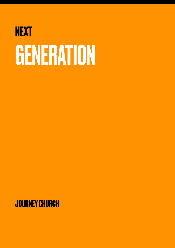# **NEXT** GENERATION

**JOURNEY CHURCH**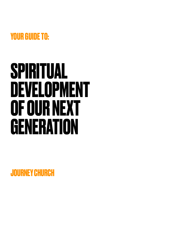

# **SPIRITUAL DEVELOPMENT OF OUR NEXT GENERATION**

**JOURNEY CHURCH**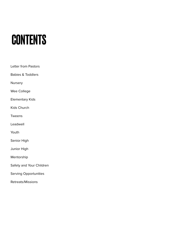# **CONTENTS**

- Letter from Pastors
- Babies & Toddlers
- Nursery
- Wee College
- Elementary Kids
- Kids Church
- Tweens
- Leadwell
- Youth
- Senior High
- Junior High
- Mentorship
- Safety and Your Children
- Serving Opportunities
- Retreats/Missions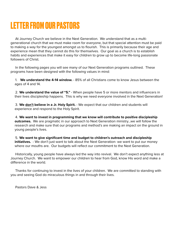# **LETTER FROM OUR PASTORS**

At Journey Church we believe in the Next Generation. We understand that as a multigenerational church that we must make room for everyone, but that special attention must be paid to making a way for the youngest amongst us to flourish. This is primarily because their age and experience mean that they cannot do this for themselves. Our goal as a church is to establish habits and experiences that make it easy for children to grow up to become life-long passionate followers of Christ.

In the following pages you will see many of our Next Generation programs outlined. These programs have been designed with the following values in mind:

1. **We understand the 4-14 window.** - 85% of all Christians come to know Jesus between the ages of 4 and 14.

2. **We understand the value of "5."** - When people have 5 or more mentors and influencers in their lives discipleship happens. This is why we need everyone involved in the Next Generation!

3. **We don't believe in a Jr. Holy Spirit.** - We expect that our children and students will experience and respond to the Holy Spirit.

4. **We want to invest in programming that we know will contribute to positive discipleship outcomes.** We are pragmatic in our approach to Next Generation ministry…we will follow the research and make sure that our programs and method's are making an impact on the ground in young people's lives.

5. **We want to give significant time and budget to children's outreach and discipleship initiatives.** - We don't just want to talk about the Next Generation- we want to put our money where our mouths are. Our budgets will reflect our commitment to the Next Generation.

Historically, young people have always led the way into revival. We don't expect anything less at Journey Church. We want to empower our children to hear from God, know His word and make a difference in the world.

Thanks for continuing to invest in the lives of your children. We are committed to standing with you and seeing God do miraculous things in and through their lives.

Pastors Dave & Jess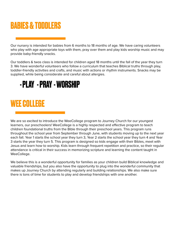# **BABIES & TODDLERS**

Our nursery is intended for babies from 6 months to 18 months of age. We have caring volunteers who play with age appropriate toys with them, pray over them and play kids worship music and may provide baby-friendly snacks.

Our toddlers & twos class is intended for children aged 18 months until the fall of the year they turn 3. We have wonderful volunteers who follow a curriculum that teaches Biblical truths through play, toddler-friendly activities and crafts, and music with actions or rhythm instruments. Snacks may be supplied, while being considerate and careful about allergies.

### **- PLAY - PRAY - WORSHIP**

# **WEE COLLEGE**

We are so excited to introduce the WeeCollege program to Journey Church for our youngest learners, our preschoolers! WeeCollege is a highly respected and effective program to teach children foundational truths from the Bible through their preschool years. This program runs throughout the school year from September through June, with students moving up to the next year each fall. Year 1 starts the school year they turn 3, Year 2 starts the school year they turn 4 and Year 3 starts the year they turn 5. This program is designed so kids engage with their Bibles, meet with Jesus and learn how to worship. Kids learn through frequent repetition and practice, so their regular attendance is critical in their success in memorizing scripture and learning the content taught in WeeCollege.

We believe this is a wonderful opportunity for families as your children build Biblical knowledge and valuable friendships, but you also have the opportunity to plug into the wonderful community that makes up Journey Church by attending regularly and building relationships. We also make sure there is tons of time for students to play and develop friendships with one another.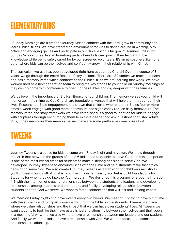## **ELEMENTARY KIDS**

 Sunday Mornings are a time for Journey Kids to connect with the Lord, grow in community and learn Biblical truths. We have created an environment for kids to dance around in worship, play active and engaging games and participate in our Bible lesson. Our goal at Journey Kids is for Sunday School to feel like an hour-long party where kids can grow in their faith and Bible knowledge while being safely cared for by our screened volunteers. It's an atmosphere like none other where kids can be themselves and confidently grow in their relationship with Christ.

The curriculum we use has been developed right here at Journey Church! Over the course of 3 years, we go through the entire Bible in 10 key sections. There are 132 stories we teach and each one has a memory verse which connects to the Biblical truth we are learning that week. We have worked hard as a next generation team to bring the key stories to your child on Sunday mornings so they can go home with confidence to open up their Bibles and dig deeper with their families.

We believe in the importance of Biblical literacy for our children. The memory verses your child will memorize in their time at Kids Church are foundational verses that will help them throughout their lives. Research on Bible engagement has shown that children who read their Bibles four or more times a week engage with good moral behaviours and significantly reduce risky behaviours. The memory verse and story framework we have established is a good foundation for kids to engage with scriptures through encouraging them to explore deeper and ask questions to trusted adults. Plus, if they memorize their memory verses there are some pretty awesome prizes too!

#### **TWEENS**

Journey Tweens is a space for kids to come on a Friday Night and have fun. We know through research that between the grades of 4 and 6 kids need to decide to serve God and this time period is one of the most critical times for students to make a lifelong decision to serve God. We developed Journey Tweens to encounter kids with the Bible and help students make that critical decision to serve God. We also created Journey Tweens as a transition for children's ministry to youth. Tweens builds off of what is taught in children's ministry and helps build foundations for Students for when they go into the Youth program. We designed this program for students in grade 4-6 with the intention of creating relationships between the students and leaders, and developing relationships among students and their peers, and finally developing relationships between students and the God we serve. We want to foster connections that will last and lifelong impact.

We meet on Friday nights and have events every two weeks. We meet on Fridays to have a fun time with the students and to impart some wisdom from the bible on the students. Tweens is a place where we value relationships and the impact that we can have over students' lives. At Tweens we want students to feel like they have established a relationship between themselves and their peers in a meaningful way, and we also want to have a relationship between our leaders and our students. And finally we want the kids to have a relationship with God. We want to focus on relationship, relationship, relationship.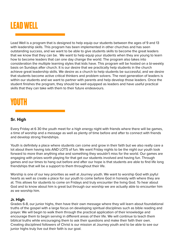

Lead Well is a program that is designed to help equip our students between the ages of 9 and 13 with leadership skills. This program has been implemented in other churches and has seen outstanding success, and we want to be able to give students skills to become the great leaders that we know that they can be. We want to help equip your students when they are young to learn how to become leaders that can one day change the world. The program also takes into consideration the multiple learning styles that kids have. This program will be hosted on a bi-weekly basis on Sundays after church. It is our desire that we practically help students in the church achieve great leadership skills. We desire as a church to help students be successful, and we desire that students become active critical thinkers and problem solvers. The next generation of leaders is within our students and we want to partner with parents and help develop those leaders. Once the student finishes the program, they should be well equipped as leaders and have useful practical skills that they can take with them to their future endeavours.

# **YOUTH**

#### **Sr. High**

Every Friday at 6 30 the youth meet for a high energy night with friends where there will be games, a time of worship and a message as well as plenty of time before and after to connect with friends and develop strong friendships.

Youth is definitely a place where students can come and grow in their faith but we also really care a lot about them having lots AND LOTS of fun. We want Friday nights to be the night our youth look forward to more than anything else and something they wouldn't miss for the world. Our games are engaging with prizes worth playing for that get our students involved and having fun. Through games and our times to hang out before and after our hope is that students are able to find life long friendships that will be a support to them throughout their life.

Worship is one of our key priorities as well at Journey youth. We want to worship God with joyful hearts as well as create a place for our youth to come before God in honesty with where they are at. This allows for students to come on Fridays and truly encounter the living God. To hear about God and to know about him is great but through our worship we are actually able to encounter him as we worship him.

#### **Jr. High**

Grades 6-8, our junior highs, then have their own message where they will learn about foundational truths of the gospel with a large focus on developing spiritual disciplines such as bible reading and prayer. We will begin to walk them through the practical application of their knowledge and encourage them to begin serving in different areas of their life. We will continue to teach them biblical truths while encouraging them to ask their questions and make their faith their own. Creating disciplined followers of Christ is our mission at Journey youth and to be able to see our junior highs truly live out their faith is our goal.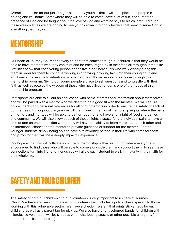Overall our desire for our junior highs at Journey youth is that it will be a place that people can belong and call home. Somewhere they will be able to come, have a lot of fun, encounter the presence of God and be taught about the love of God and what he says to his children. Through these weekly times we are hoping to see youth grown into godly leaders that seek to serve God in everything that they do.

### **MENTORSHIP**

Our heart at Journey Church for every student that comes through our church is that they would be able to have mentors who they can trust and be encouraged by in their faith all throughout their life. Statistics show that each young person needs five older individuals who walk closely alongside them in order for them to continue walking in a thriving, growing faith into their young adult and adult years. To be able to intentionally provide one of those people is our hope through this mentorship program. Giving our young people a place to ask questions and to wrestle with their faith as well as receive the wisdom of those who have lived longer is one of the hopes of this mentorship program

Participants are able to fill out an application with basic interests and information about themselves and will be paired with a mentor who we deem to be a good fit with the mentee. We will require police checks and personal references for all of our mentors in order to ensure the safety of each of our mentees. Throughout the year we will then have 4 intentional mentorship nights where the pairs of mentors and mentees will be able to gather together and have a fun night of food and games and community. We will also allow at each of these nights a space for the individual pairs to have a time of one on one interaction where they will have the ability to learn more about each other and an intentional chance for the mentor to provide guidance or support for the mentee. For the younger students simply being able to have a trustworthy person in their life who cares for them and prays for them will be a deeply impactful experience.

Our hope is that this will cultivate a culture of mentorship within our church where everyone is encouraged to find those who will be able to come alongside them and support them. To see these connections turn into life-long friendships will allow each student to walk in maturity in their faith for their whole life.

# **SAFETY AND YOUR CHILDREN**

The safety of both our children and our volunteers is very important to us here at Journey Church.We have a screening process for volunteers that includes a police check specific to those working with this vulnerable sector. We have a check-in system that prints sticker tags for each child and as well as a parent tag for pick-up. We also have bright coloured bands for children with allergies so volunteers will be cautious when distributing snacks or other possible allergens. (all potential snacks are nut free)